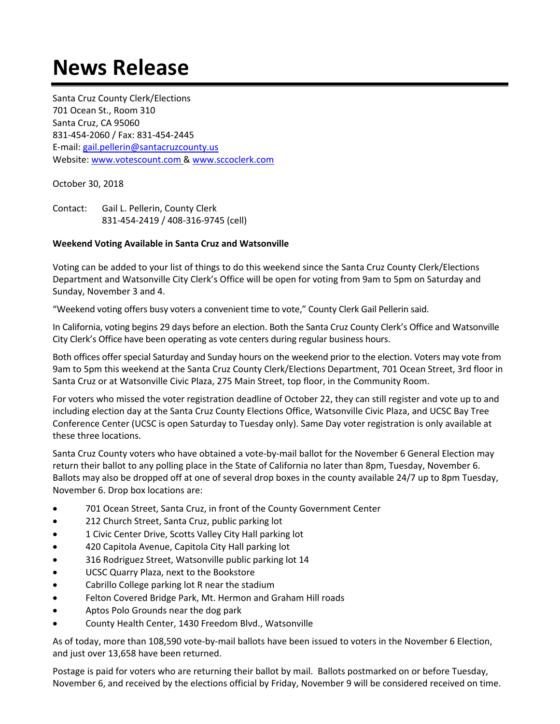## **News Release**

Santa Cruz County Clerk/Elections 701 Ocean St., Room 310 Santa Cruz, CA 95060 831‐454‐2060 / Fax: 831‐454‐2445 E‐mail: gail.pellerin@santacruzcounty.us Website: www.votescount.com & www.sccoclerk.com

October 30, 2018

Contact: Gail L. Pellerin, County Clerk 831‐454‐2419 / 408‐316‐9745 (cell)

## **Weekend Voting Available in Santa Cruz and Watsonville**

Voting can be added to your list of things to do this weekend since the Santa Cruz County Clerk/Elections Department and Watsonville City Clerk's Office will be open for voting from 9am to 5pm on Saturday and Sunday, November 3 and 4.

"Weekend voting offers busy voters a convenient time to vote," County Clerk Gail Pellerin said.

In California, voting begins 29 days before an election. Both the Santa Cruz County Clerk's Office and Watsonville City Clerk's Office have been operating as vote centers during regular business hours.

Both offices offer special Saturday and Sunday hours on the weekend prior to the election. Voters may vote from 9am to 5pm this weekend at the Santa Cruz County Clerk/Elections Department, 701 Ocean Street, 3rd floor in Santa Cruz or at Watsonville Civic Plaza, 275 Main Street, top floor, in the Community Room.

For voters who missed the voter registration deadline of October 22, they can still register and vote up to and including election day at the Santa Cruz County Elections Office, Watsonville Civic Plaza, and UCSC Bay Tree Conference Center (UCSC is open Saturday to Tuesday only). Same Day voter registration is only available at these three locations.

Santa Cruz County voters who have obtained a vote‐by‐mail ballot for the November 6 General Election may return their ballot to any polling place in the State of California no later than 8pm, Tuesday, November 6. Ballots may also be dropped off at one of several drop boxes in the county available 24/7 up to 8pm Tuesday, November 6. Drop box locations are:

- 701 Ocean Street, Santa Cruz, in front of the County Government Center
- 212 Church Street, Santa Cruz, public parking lot
- 1 Civic Center Drive, Scotts Valley City Hall parking lot
- 420 Capitola Avenue, Capitola City Hall parking lot
- 316 Rodriguez Street, Watsonville public parking lot 14
- UCSC Quarry Plaza, next to the Bookstore
- Cabrillo College parking lot R near the stadium
- Felton Covered Bridge Park, Mt. Hermon and Graham Hill roads
- Aptos Polo Grounds near the dog park
- County Health Center, 1430 Freedom Blvd., Watsonville

As of today, more than 108,590 vote‐by‐mail ballots have been issued to voters in the November 6 Election, and just over 13,658 have been returned.

Postage is paid for voters who are returning their ballot by mail. Ballots postmarked on or before Tuesday, November 6, and received by the elections official by Friday, November 9 will be considered received on time.